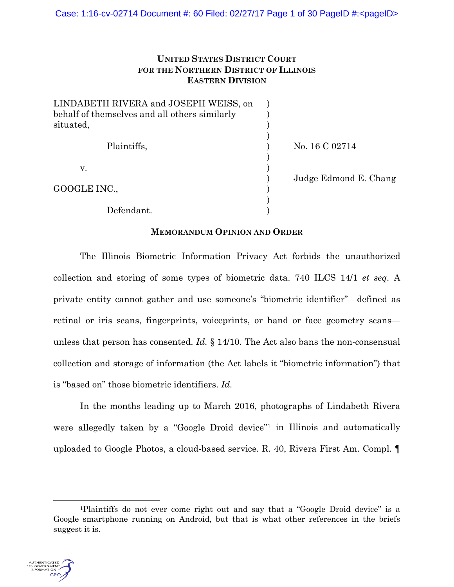## **UNITED STATES DISTRICT COURT FOR THE NORTHERN DISTRICT OF ILLINOIS EASTERN DIVISION**

| LINDABETH RIVERA and JOSEPH WEISS, on         |                       |
|-----------------------------------------------|-----------------------|
| behalf of themselves and all others similarly |                       |
| situated,                                     |                       |
|                                               |                       |
| Plaintiffs,                                   | No. 16 C 02714        |
|                                               |                       |
| V.                                            |                       |
|                                               | Judge Edmond E. Chang |
| GOOGLE INC.,                                  |                       |
|                                               |                       |
| Defendant.                                    |                       |

### **MEMORANDUM OPINION AND ORDER**

The Illinois Biometric Information Privacy Act forbids the unauthorized collection and storing of some types of biometric data. 740 ILCS 14/1 *et seq*. A private entity cannot gather and use someone's "biometric identifier"—defined as retinal or iris scans, fingerprints, voiceprints, or hand or face geometry scans unless that person has consented. *Id.* § 14/10. The Act also bans the non-consensual collection and storage of information (the Act labels it "biometric information") that is "based on" those biometric identifiers. *Id.* 

In the months leading up to March 2016, photographs of Lindabeth Rivera were allegedly taken by a "Google Droid device"<sup>1</sup> in Illinois and automatically uploaded to Google Photos, a cloud-based service. R. 40, Rivera First Am. Compl. ¶

 <sup>1</sup>Plaintiffs do not ever come right out and say that a "Google Droid device" is a Google smartphone running on Android, but that is what other references in the briefs suggest it is.

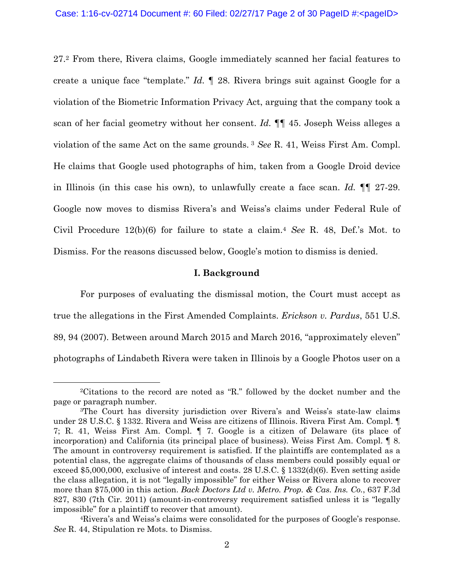27.2 From there, Rivera claims, Google immediately scanned her facial features to create a unique face "template." *Id.* ¶ 28. Rivera brings suit against Google for a violation of the Biometric Information Privacy Act, arguing that the company took a scan of her facial geometry without her consent. *Id.* ¶¶ 45. Joseph Weiss alleges a violation of the same Act on the same grounds. 3 *See* R. 41, Weiss First Am. Compl. He claims that Google used photographs of him, taken from a Google Droid device in Illinois (in this case his own), to unlawfully create a face scan. *Id.* ¶¶ 27-29. Google now moves to dismiss Rivera's and Weiss's claims under Federal Rule of Civil Procedure 12(b)(6) for failure to state a claim.4 *See* R. 48, Def.'s Mot. to Dismiss. For the reasons discussed below, Google's motion to dismiss is denied.

#### **I. Background**

For purposes of evaluating the dismissal motion, the Court must accept as true the allegations in the First Amended Complaints. *Erickson v. Pardus*, 551 U.S. 89, 94 (2007). Between around March 2015 and March 2016, "approximately eleven" photographs of Lindabeth Rivera were taken in Illinois by a Google Photos user on a

 <sup>2</sup>Citations to the record are noted as "R." followed by the docket number and the page or paragraph number.

<sup>3</sup>The Court has diversity jurisdiction over Rivera's and Weiss's state-law claims under 28 U.S.C. § 1332. Rivera and Weiss are citizens of Illinois. Rivera First Am. Compl. ¶ 7; R. 41, Weiss First Am. Compl. ¶ 7. Google is a citizen of Delaware (its place of incorporation) and California (its principal place of business). Weiss First Am. Compl. ¶ 8. The amount in controversy requirement is satisfied. If the plaintiffs are contemplated as a potential class, the aggregate claims of thousands of class members could possibly equal or exceed \$5,000,000, exclusive of interest and costs. 28 U.S.C. § 1332(d)(6). Even setting aside the class allegation, it is not "legally impossible" for either Weiss or Rivera alone to recover more than \$75,000 in this action. *Back Doctors Ltd v. Metro. Prop. & Cas. Ins. Co.*, 637 F.3d 827, 830 (7th Cir. 2011) (amount-in-controversy requirement satisfied unless it is "legally impossible" for a plaintiff to recover that amount).

<sup>4</sup>Rivera's and Weiss's claims were consolidated for the purposes of Google's response. *See* R. 44, Stipulation re Mots. to Dismiss.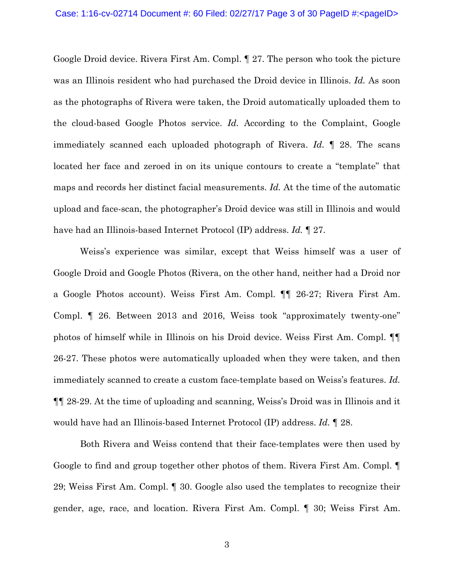Google Droid device. Rivera First Am. Compl. ¶ 27. The person who took the picture was an Illinois resident who had purchased the Droid device in Illinois. *Id.* As soon as the photographs of Rivera were taken, the Droid automatically uploaded them to the cloud-based Google Photos service. *Id.* According to the Complaint, Google immediately scanned each uploaded photograph of Rivera. *Id.* ¶ 28. The scans located her face and zeroed in on its unique contours to create a "template" that maps and records her distinct facial measurements. *Id.* At the time of the automatic upload and face-scan, the photographer's Droid device was still in Illinois and would have had an Illinois-based Internet Protocol (IP) address. *Id.* ¶ 27.

Weiss's experience was similar, except that Weiss himself was a user of Google Droid and Google Photos (Rivera, on the other hand, neither had a Droid nor a Google Photos account). Weiss First Am. Compl. ¶¶ 26-27; Rivera First Am. Compl. ¶ 26. Between 2013 and 2016, Weiss took "approximately twenty-one" photos of himself while in Illinois on his Droid device. Weiss First Am. Compl. ¶¶ 26-27. These photos were automatically uploaded when they were taken, and then immediately scanned to create a custom face-template based on Weiss's features. *Id.*  ¶¶ 28-29. At the time of uploading and scanning, Weiss's Droid was in Illinois and it would have had an Illinois-based Internet Protocol (IP) address. *Id.* ¶ 28.

Both Rivera and Weiss contend that their face-templates were then used by Google to find and group together other photos of them. Rivera First Am. Compl. 29; Weiss First Am. Compl. ¶ 30. Google also used the templates to recognize their gender, age, race, and location. Rivera First Am. Compl. ¶ 30; Weiss First Am.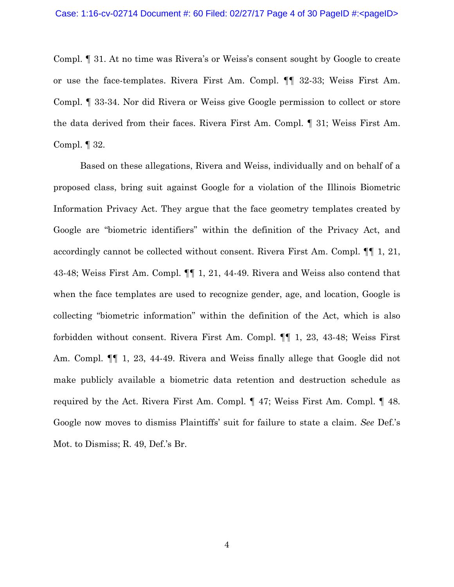Compl. ¶ 31. At no time was Rivera's or Weiss's consent sought by Google to create or use the face-templates. Rivera First Am. Compl. ¶¶ 32-33; Weiss First Am. Compl. ¶ 33-34. Nor did Rivera or Weiss give Google permission to collect or store the data derived from their faces. Rivera First Am. Compl. ¶ 31; Weiss First Am. Compl. ¶ 32.

Based on these allegations, Rivera and Weiss, individually and on behalf of a proposed class, bring suit against Google for a violation of the Illinois Biometric Information Privacy Act. They argue that the face geometry templates created by Google are "biometric identifiers" within the definition of the Privacy Act, and accordingly cannot be collected without consent. Rivera First Am. Compl. ¶¶ 1, 21, 43-48; Weiss First Am. Compl. ¶¶ 1, 21, 44-49. Rivera and Weiss also contend that when the face templates are used to recognize gender, age, and location, Google is collecting "biometric information" within the definition of the Act, which is also forbidden without consent. Rivera First Am. Compl. ¶¶ 1, 23, 43-48; Weiss First Am. Compl.  $\P$  1, 23, 44-49. Rivera and Weiss finally allege that Google did not make publicly available a biometric data retention and destruction schedule as required by the Act. Rivera First Am. Compl. ¶ 47; Weiss First Am. Compl. ¶ 48. Google now moves to dismiss Plaintiffs' suit for failure to state a claim. *See* Def.'s Mot. to Dismiss; R. 49, Def.'s Br.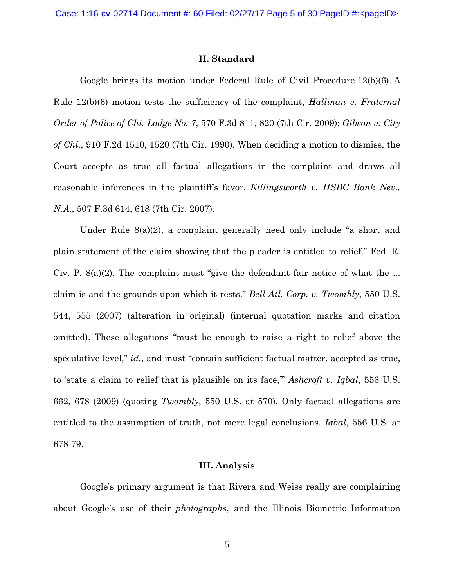#### **II. Standard**

Google brings its motion under Federal Rule of Civil Procedure 12(b)(6). A Rule 12(b)(6) motion tests the sufficiency of the complaint, *Hallinan v. Fraternal Order of Police of Chi. Lodge No. 7*, 570 F.3d 811, 820 (7th Cir. 2009); *Gibson v. City of Chi.*, 910 F.2d 1510, 1520 (7th Cir. 1990). When deciding a motion to dismiss, the Court accepts as true all factual allegations in the complaint and draws all reasonable inferences in the plaintiff's favor. *Killingsworth v. HSBC Bank Nev., N.A.*, 507 F.3d 614, 618 (7th Cir. 2007).

Under Rule 8(a)(2), a complaint generally need only include "a short and plain statement of the claim showing that the pleader is entitled to relief." Fed. R. Civ. P. 8(a)(2). The complaint must "give the defendant fair notice of what the ... claim is and the grounds upon which it rests." *Bell Atl. Corp. v. Twombly*, 550 U.S. 544, 555 (2007) (alteration in original) (internal quotation marks and citation omitted). These allegations "must be enough to raise a right to relief above the speculative level," *id.*, and must "contain sufficient factual matter, accepted as true, to 'state a claim to relief that is plausible on its face,'" *Ashcroft v. Iqbal*, 556 U.S. 662, 678 (2009) (quoting *Twombly*, 550 U.S. at 570). Only factual allegations are entitled to the assumption of truth, not mere legal conclusions. *Iqbal*, 556 U.S. at 678-79.

#### **III. Analysis**

 Google's primary argument is that Rivera and Weiss really are complaining about Google's use of their *photographs*, and the Illinois Biometric Information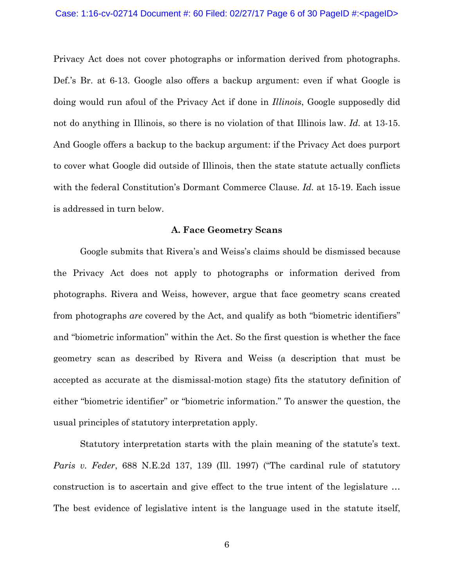Privacy Act does not cover photographs or information derived from photographs. Def.'s Br. at 6-13. Google also offers a backup argument: even if what Google is doing would run afoul of the Privacy Act if done in *Illinois*, Google supposedly did not do anything in Illinois, so there is no violation of that Illinois law. *Id.* at 13-15. And Google offers a backup to the backup argument: if the Privacy Act does purport to cover what Google did outside of Illinois, then the state statute actually conflicts with the federal Constitution's Dormant Commerce Clause. *Id.* at 15-19. Each issue is addressed in turn below.

#### **A. Face Geometry Scans**

 Google submits that Rivera's and Weiss's claims should be dismissed because the Privacy Act does not apply to photographs or information derived from photographs. Rivera and Weiss, however, argue that face geometry scans created from photographs *are* covered by the Act, and qualify as both "biometric identifiers" and "biometric information" within the Act. So the first question is whether the face geometry scan as described by Rivera and Weiss (a description that must be accepted as accurate at the dismissal-motion stage) fits the statutory definition of either "biometric identifier" or "biometric information." To answer the question, the usual principles of statutory interpretation apply.

 Statutory interpretation starts with the plain meaning of the statute's text. *Paris v. Feder*, 688 N.E.2d 137, 139 (Ill. 1997) ("The cardinal rule of statutory construction is to ascertain and give effect to the true intent of the legislature … The best evidence of legislative intent is the language used in the statute itself,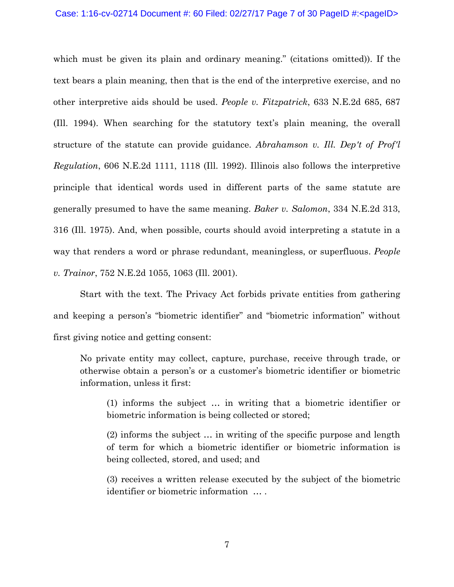#### Case: 1:16-cv-02714 Document #: 60 Filed: 02/27/17 Page 7 of 30 PageID #:<pageID>

which must be given its plain and ordinary meaning." (citations omitted)). If the text bears a plain meaning, then that is the end of the interpretive exercise, and no other interpretive aids should be used. *People v. Fitzpatrick*, 633 N.E.2d 685, 687 (Ill. 1994). When searching for the statutory text's plain meaning, the overall structure of the statute can provide guidance. *Abrahamson v. Ill. Dep't of Prof'l Regulation*, 606 N.E.2d 1111, 1118 (Ill. 1992). Illinois also follows the interpretive principle that identical words used in different parts of the same statute are generally presumed to have the same meaning. *Baker v. Salomon*, 334 N.E.2d 313, 316 (Ill. 1975). And, when possible, courts should avoid interpreting a statute in a way that renders a word or phrase redundant, meaningless, or superfluous. *People v. Trainor*, 752 N.E.2d 1055, 1063 (Ill. 2001).

 Start with the text. The Privacy Act forbids private entities from gathering and keeping a person's "biometric identifier" and "biometric information" without first giving notice and getting consent:

No private entity may collect, capture, purchase, receive through trade, or otherwise obtain a person's or a customer's biometric identifier or biometric information, unless it first:

 (1) informs the subject … in writing that a biometric identifier or biometric information is being collected or stored;

 (2) informs the subject … in writing of the specific purpose and length of term for which a biometric identifier or biometric information is being collected, stored, and used; and

 (3) receives a written release executed by the subject of the biometric identifier or biometric information … .

7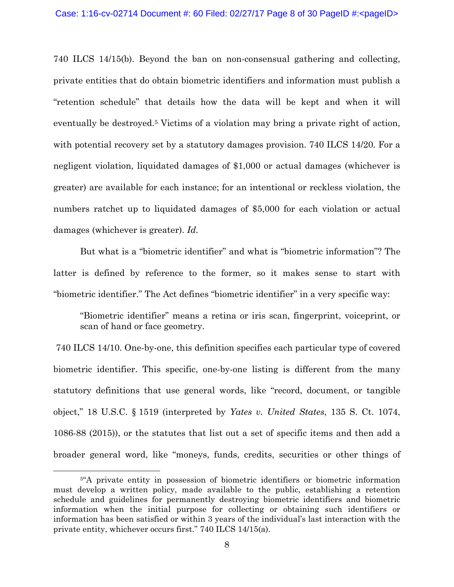740 ILCS 14/15(b). Beyond the ban on non-consensual gathering and collecting, private entities that do obtain biometric identifiers and information must publish a "retention schedule" that details how the data will be kept and when it will eventually be destroyed.5 Victims of a violation may bring a private right of action, with potential recovery set by a statutory damages provision. 740 ILCS 14/20. For a negligent violation, liquidated damages of \$1,000 or actual damages (whichever is greater) are available for each instance; for an intentional or reckless violation, the numbers ratchet up to liquidated damages of \$5,000 for each violation or actual damages (whichever is greater). *Id.* 

 But what is a "biometric identifier" and what is "biometric information"? The latter is defined by reference to the former, so it makes sense to start with "biometric identifier." The Act defines "biometric identifier" in a very specific way:

 "Biometric identifier" means a retina or iris scan, fingerprint, voiceprint, or scan of hand or face geometry.

 740 ILCS 14/10. One-by-one, this definition specifies each particular type of covered biometric identifier. This specific, one-by-one listing is different from the many statutory definitions that use general words, like "record, document, or tangible object," 18 U.S.C. § 1519 (interpreted by *Yates v. United States*, 135 S. Ct. 1074, 1086-88 (2015)), or the statutes that list out a set of specific items and then add a broader general word, like "moneys, funds, credits, securities or other things of

<sup>&</sup>lt;sup>5"</sup>A private entity in possession of biometric identifiers or biometric information must develop a written policy, made available to the public, establishing a retention schedule and guidelines for permanently destroying biometric identifiers and biometric information when the initial purpose for collecting or obtaining such identifiers or information has been satisfied or within 3 years of the individual's last interaction with the private entity, whichever occurs first." 740 ILCS 14/15(a).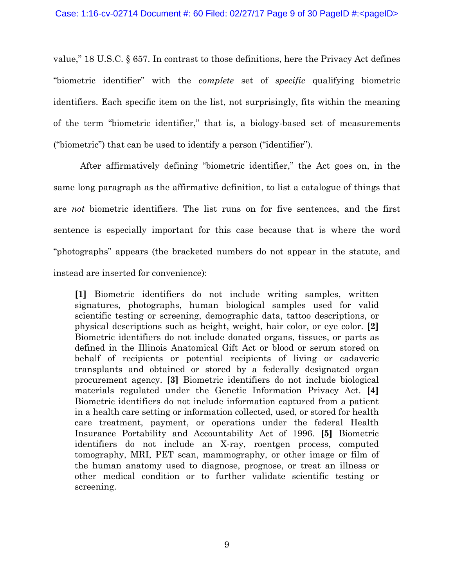value," 18 U.S.C. § 657. In contrast to those definitions, here the Privacy Act defines "biometric identifier" with the *complete* set of *specific* qualifying biometric identifiers. Each specific item on the list, not surprisingly, fits within the meaning of the term "biometric identifier," that is, a biology-based set of measurements ("biometric") that can be used to identify a person ("identifier").

 After affirmatively defining "biometric identifier," the Act goes on, in the same long paragraph as the affirmative definition, to list a catalogue of things that are *not* biometric identifiers. The list runs on for five sentences, and the first sentence is especially important for this case because that is where the word "photographs" appears (the bracketed numbers do not appear in the statute, and instead are inserted for convenience):

**[1]** Biometric identifiers do not include writing samples, written signatures, photographs, human biological samples used for valid scientific testing or screening, demographic data, tattoo descriptions, or physical descriptions such as height, weight, hair color, or eye color. **[2]**  Biometric identifiers do not include donated organs, tissues, or parts as defined in the Illinois Anatomical Gift Act or blood or serum stored on behalf of recipients or potential recipients of living or cadaveric transplants and obtained or stored by a federally designated organ procurement agency. **[3]** Biometric identifiers do not include biological materials regulated under the Genetic Information Privacy Act. **[4]**  Biometric identifiers do not include information captured from a patient in a health care setting or information collected, used, or stored for health care treatment, payment, or operations under the federal Health Insurance Portability and Accountability Act of 1996. **[5]** Biometric identifiers do not include an X-ray, roentgen process, computed tomography, MRI, PET scan, mammography, or other image or film of the human anatomy used to diagnose, prognose, or treat an illness or other medical condition or to further validate scientific testing or screening.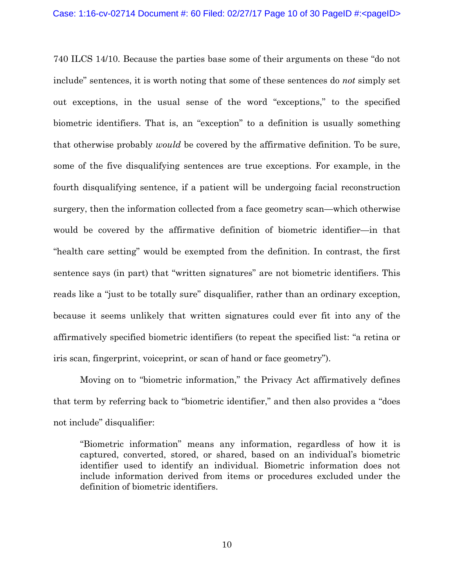740 ILCS 14/10. Because the parties base some of their arguments on these "do not include" sentences, it is worth noting that some of these sentences do *not* simply set out exceptions, in the usual sense of the word "exceptions," to the specified biometric identifiers. That is, an "exception" to a definition is usually something that otherwise probably *would* be covered by the affirmative definition. To be sure, some of the five disqualifying sentences are true exceptions. For example, in the fourth disqualifying sentence, if a patient will be undergoing facial reconstruction surgery, then the information collected from a face geometry scan—which otherwise would be covered by the affirmative definition of biometric identifier—in that "health care setting" would be exempted from the definition. In contrast, the first sentence says (in part) that "written signatures" are not biometric identifiers. This reads like a "just to be totally sure" disqualifier, rather than an ordinary exception, because it seems unlikely that written signatures could ever fit into any of the affirmatively specified biometric identifiers (to repeat the specified list: "a retina or iris scan, fingerprint, voiceprint, or scan of hand or face geometry").

 Moving on to "biometric information," the Privacy Act affirmatively defines that term by referring back to "biometric identifier," and then also provides a "does not include" disqualifier:

 "Biometric information" means any information, regardless of how it is captured, converted, stored, or shared, based on an individual's biometric identifier used to identify an individual. Biometric information does not include information derived from items or procedures excluded under the definition of biometric identifiers.

10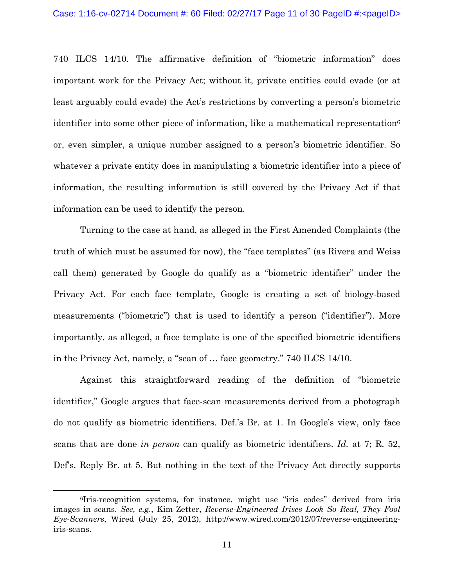740 ILCS 14/10. The affirmative definition of "biometric information" does important work for the Privacy Act; without it, private entities could evade (or at least arguably could evade) the Act's restrictions by converting a person's biometric identifier into some other piece of information, like a mathematical representation<sup>6</sup> or, even simpler, a unique number assigned to a person's biometric identifier. So whatever a private entity does in manipulating a biometric identifier into a piece of information, the resulting information is still covered by the Privacy Act if that information can be used to identify the person.

 Turning to the case at hand, as alleged in the First Amended Complaints (the truth of which must be assumed for now), the "face templates" (as Rivera and Weiss call them) generated by Google do qualify as a "biometric identifier" under the Privacy Act. For each face template, Google is creating a set of biology-based measurements ("biometric") that is used to identify a person ("identifier"). More importantly, as alleged, a face template is one of the specified biometric identifiers in the Privacy Act, namely, a "scan of … face geometry." 740 ILCS 14/10.

 Against this straightforward reading of the definition of "biometric identifier," Google argues that face-scan measurements derived from a photograph do not qualify as biometric identifiers. Def.'s Br. at 1. In Google's view, only face scans that are done *in person* can qualify as biometric identifiers. *Id.* at 7; R. 52, Def's. Reply Br. at 5. But nothing in the text of the Privacy Act directly supports

 <sup>6</sup>Iris-recognition systems, for instance, might use "iris codes" derived from iris images in scans*. See, e.g.*, Kim Zetter, *Reverse-Engineered Irises Look So Real, They Fool Eye-Scanners*, Wired (July 25, 2012), http://www.wired.com/2012/07/reverse-engineeringiris-scans.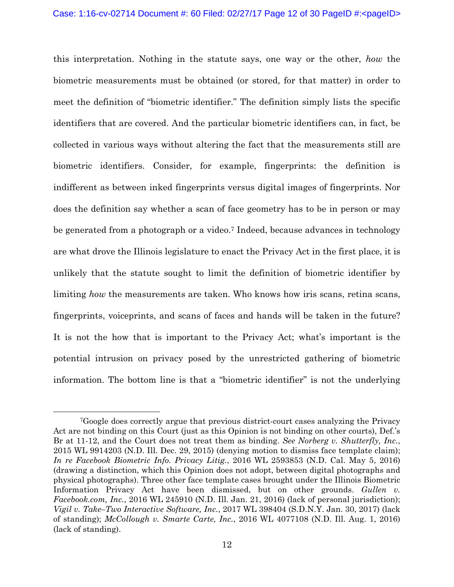this interpretation. Nothing in the statute says, one way or the other, *how* the biometric measurements must be obtained (or stored, for that matter) in order to meet the definition of "biometric identifier." The definition simply lists the specific identifiers that are covered. And the particular biometric identifiers can, in fact, be collected in various ways without altering the fact that the measurements still are biometric identifiers. Consider, for example, fingerprints: the definition is indifferent as between inked fingerprints versus digital images of fingerprints. Nor does the definition say whether a scan of face geometry has to be in person or may be generated from a photograph or a video.<sup>7</sup> Indeed, because advances in technology are what drove the Illinois legislature to enact the Privacy Act in the first place, it is unlikely that the statute sought to limit the definition of biometric identifier by limiting *how* the measurements are taken. Who knows how iris scans, retina scans, fingerprints, voiceprints, and scans of faces and hands will be taken in the future? It is not the how that is important to the Privacy Act; what's important is the potential intrusion on privacy posed by the unrestricted gathering of biometric information. The bottom line is that a "biometric identifier" is not the underlying

 <sup>7</sup>Google does correctly argue that previous district-court cases analyzing the Privacy Act are not binding on this Court (just as this Opinion is not binding on other courts), Def.'s Br at 11-12, and the Court does not treat them as binding. *See Norberg v. Shutterfly, Inc.*, 2015 WL 9914203 (N.D. Ill. Dec. 29, 2015) (denying motion to dismiss face template claim); *In re Facebook Biometric Info. Privacy Litig.*, 2016 WL 2593853 (N.D. Cal. May 5, 2016) (drawing a distinction, which this Opinion does not adopt, between digital photographs and physical photographs). Three other face template cases brought under the Illinois Biometric Information Privacy Act have been dismissed, but on other grounds. *Gullen v. Facebook.com, Inc.*, 2016 WL 245910 (N.D. Ill. Jan. 21, 2016) (lack of personal jurisdiction); *Vigil v. Take–Two Interactive Software, Inc.*, 2017 WL 398404 (S.D.N.Y. Jan. 30, 2017) (lack of standing); *McCollough v. Smarte Carte, Inc.*, 2016 WL 4077108 (N.D. Ill. Aug. 1, 2016) (lack of standing).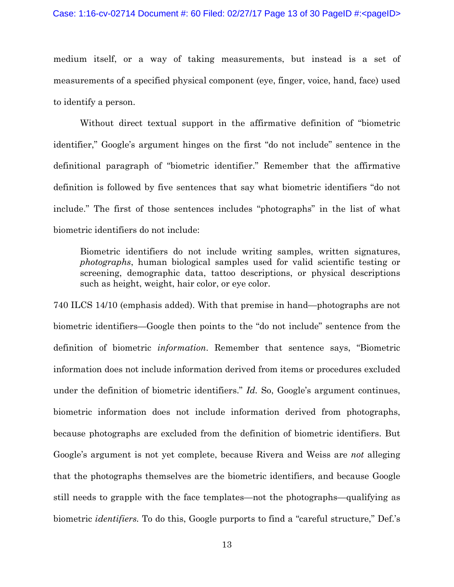#### Case: 1:16-cv-02714 Document #: 60 Filed: 02/27/17 Page 13 of 30 PageID #:<pageID>

medium itself, or a way of taking measurements, but instead is a set of measurements of a specified physical component (eye, finger, voice, hand, face) used to identify a person.

 Without direct textual support in the affirmative definition of "biometric identifier," Google's argument hinges on the first "do not include" sentence in the definitional paragraph of "biometric identifier." Remember that the affirmative definition is followed by five sentences that say what biometric identifiers "do not include." The first of those sentences includes "photographs" in the list of what biometric identifiers do not include:

Biometric identifiers do not include writing samples, written signatures, *photographs*, human biological samples used for valid scientific testing or screening, demographic data, tattoo descriptions, or physical descriptions such as height, weight, hair color, or eye color.

740 ILCS 14/10 (emphasis added). With that premise in hand—photographs are not biometric identifiers—Google then points to the "do not include" sentence from the definition of biometric *information*. Remember that sentence says, "Biometric information does not include information derived from items or procedures excluded under the definition of biometric identifiers." *Id.* So, Google's argument continues, biometric information does not include information derived from photographs, because photographs are excluded from the definition of biometric identifiers. But Google's argument is not yet complete, because Rivera and Weiss are *not* alleging that the photographs themselves are the biometric identifiers, and because Google still needs to grapple with the face templates—not the photographs—qualifying as biometric *identifiers.* To do this, Google purports to find a "careful structure," Def.'s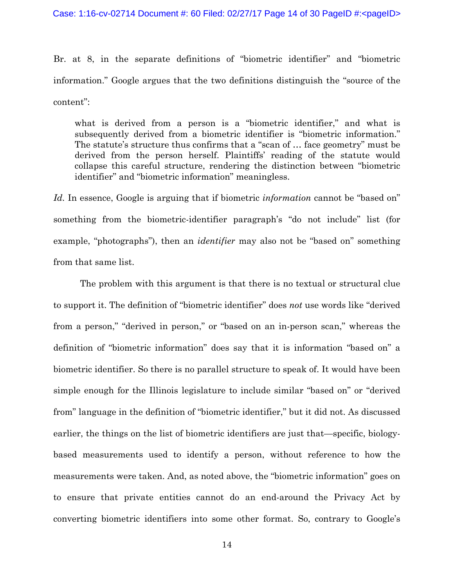Br. at 8, in the separate definitions of "biometric identifier" and "biometric information." Google argues that the two definitions distinguish the "source of the content":

what is derived from a person is a "biometric identifier," and what is subsequently derived from a biometric identifier is "biometric information." The statute's structure thus confirms that a "scan of … face geometry" must be derived from the person herself. Plaintiffs' reading of the statute would collapse this careful structure, rendering the distinction between "biometric identifier" and "biometric information" meaningless.

*Id.* In essence, Google is arguing that if biometric *information* cannot be "based on" something from the biometric-identifier paragraph's "do not include" list (for example, "photographs"), then an *identifier* may also not be "based on" something from that same list.

 The problem with this argument is that there is no textual or structural clue to support it. The definition of "biometric identifier" does *not* use words like "derived from a person," "derived in person," or "based on an in-person scan," whereas the definition of "biometric information" does say that it is information "based on" a biometric identifier. So there is no parallel structure to speak of. It would have been simple enough for the Illinois legislature to include similar "based on" or "derived from" language in the definition of "biometric identifier," but it did not. As discussed earlier, the things on the list of biometric identifiers are just that—specific, biologybased measurements used to identify a person, without reference to how the measurements were taken. And, as noted above, the "biometric information" goes on to ensure that private entities cannot do an end-around the Privacy Act by converting biometric identifiers into some other format. So, contrary to Google's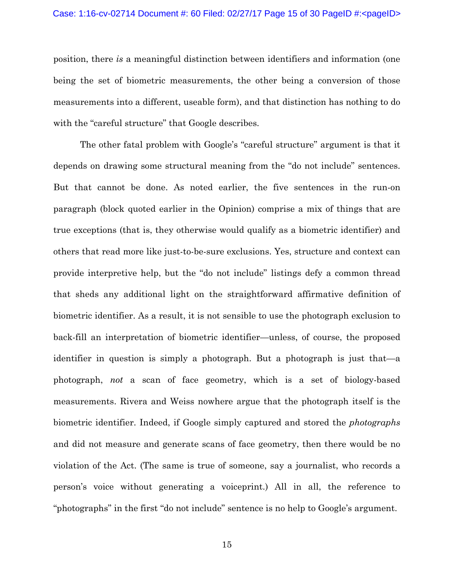position, there *is* a meaningful distinction between identifiers and information (one being the set of biometric measurements, the other being a conversion of those measurements into a different, useable form), and that distinction has nothing to do with the "careful structure" that Google describes.

The other fatal problem with Google's "careful structure" argument is that it depends on drawing some structural meaning from the "do not include" sentences. But that cannot be done. As noted earlier, the five sentences in the run-on paragraph (block quoted earlier in the Opinion) comprise a mix of things that are true exceptions (that is, they otherwise would qualify as a biometric identifier) and others that read more like just-to-be-sure exclusions. Yes, structure and context can provide interpretive help, but the "do not include" listings defy a common thread that sheds any additional light on the straightforward affirmative definition of biometric identifier. As a result, it is not sensible to use the photograph exclusion to back-fill an interpretation of biometric identifier—unless, of course, the proposed identifier in question is simply a photograph. But a photograph is just that—a photograph, *not* a scan of face geometry, which is a set of biology-based measurements. Rivera and Weiss nowhere argue that the photograph itself is the biometric identifier. Indeed, if Google simply captured and stored the *photographs* and did not measure and generate scans of face geometry, then there would be no violation of the Act. (The same is true of someone, say a journalist, who records a person's voice without generating a voiceprint.) All in all, the reference to "photographs" in the first "do not include" sentence is no help to Google's argument.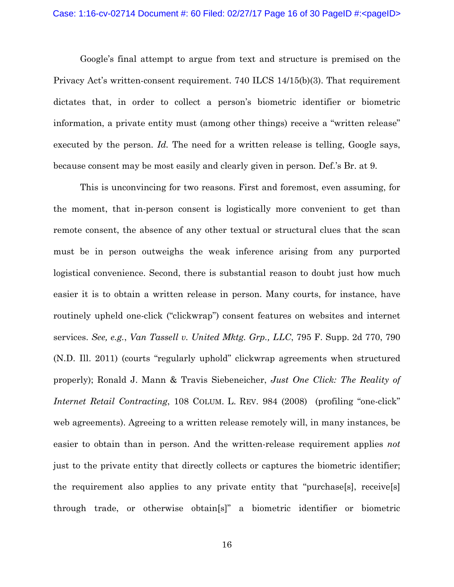Google's final attempt to argue from text and structure is premised on the Privacy Act's written-consent requirement. 740 ILCS 14/15(b)(3). That requirement dictates that, in order to collect a person's biometric identifier or biometric information, a private entity must (among other things) receive a "written release" executed by the person. *Id*. The need for a written release is telling, Google says, because consent may be most easily and clearly given in person*.* Def.'s Br. at 9.

 This is unconvincing for two reasons. First and foremost, even assuming, for the moment, that in-person consent is logistically more convenient to get than remote consent, the absence of any other textual or structural clues that the scan must be in person outweighs the weak inference arising from any purported logistical convenience. Second, there is substantial reason to doubt just how much easier it is to obtain a written release in person. Many courts, for instance, have routinely upheld one-click ("clickwrap") consent features on websites and internet services. *See, e.g.*, *Van Tassell v. United Mktg. Grp., LLC*, 795 F. Supp. 2d 770, 790 (N.D. Ill. 2011) (courts "regularly uphold" clickwrap agreements when structured properly); Ronald J. Mann & Travis Siebeneicher, *Just One Click: The Reality of Internet Retail Contracting*, 108 COLUM. L. REV. 984 (2008) (profiling "one-click" web agreements). Agreeing to a written release remotely will, in many instances, be easier to obtain than in person. And the written-release requirement applies *not*  just to the private entity that directly collects or captures the biometric identifier; the requirement also applies to any private entity that "purchase[s], receive[s] through trade, or otherwise obtain[s]" a biometric identifier or biometric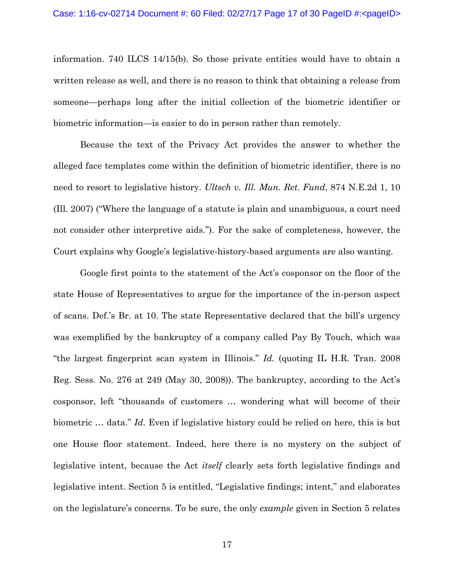information. 740 ILCS 14/15(b). So those private entities would have to obtain a written release as well, and there is no reason to think that obtaining a release from someone—perhaps long after the initial collection of the biometric identifier or biometric information—is easier to do in person rather than remotely.

 Because the text of the Privacy Act provides the answer to whether the alleged face templates come within the definition of biometric identifier, there is no need to resort to legislative history. *Ultsch v. Ill. Mun. Ret. Fund*, 874 N.E.2d 1, 10 (Ill. 2007) ("Where the language of a statute is plain and unambiguous, a court need not consider other interpretive aids."). For the sake of completeness, however, the Court explains why Google's legislative-history-based arguments are also wanting.

 Google first points to the statement of the Act's cosponsor on the floor of the state House of Representatives to argue for the importance of the in-person aspect of scans. Def.'s Br. at 10. The state Representative declared that the bill's urgency was exemplified by the bankruptcy of a company called Pay By Touch, which was "the largest fingerprint scan system in Illinois." *Id.* (quoting IL H.R. Tran. 2008 Reg. Sess. No. 276 at 249 (May 30, 2008)). The bankruptcy, according to the Act's cosponsor, left "thousands of customers … wondering what will become of their biometric … data." *Id.* Even if legislative history could be relied on here, this is but one House floor statement. Indeed, here there is no mystery on the subject of legislative intent, because the Act *itself* clearly sets forth legislative findings and legislative intent. Section 5 is entitled, "Legislative findings; intent," and elaborates on the legislature's concerns. To be sure, the only *example* given in Section 5 relates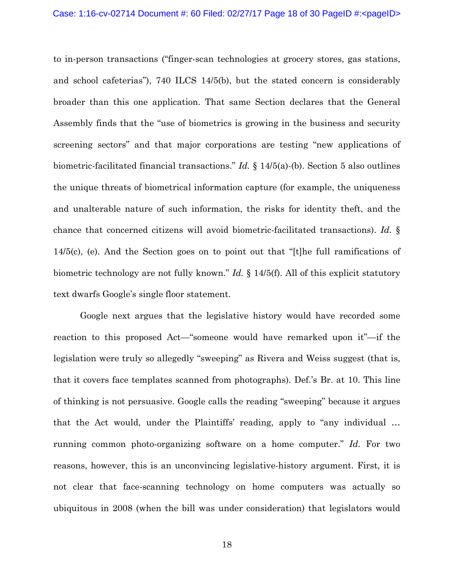to in-person transactions ("finger-scan technologies at grocery stores, gas stations, and school cafeterias"), 740 ILCS 14/5(b), but the stated concern is considerably broader than this one application. That same Section declares that the General Assembly finds that the "use of biometrics is growing in the business and security screening sectors" and that major corporations are testing "new applications of biometric-facilitated financial transactions." *Id.* § 14/5(a)-(b). Section 5 also outlines the unique threats of biometrical information capture (for example, the uniqueness and unalterable nature of such information, the risks for identity theft, and the chance that concerned citizens will avoid biometric-facilitated transactions). *Id.* § 14/5(c), (e). And the Section goes on to point out that "[t]he full ramifications of biometric technology are not fully known." *Id.* § 14/5(f). All of this explicit statutory text dwarfs Google's single floor statement.

 Google next argues that the legislative history would have recorded some reaction to this proposed Act—"someone would have remarked upon it"—if the legislation were truly so allegedly "sweeping" as Rivera and Weiss suggest (that is, that it covers face templates scanned from photographs). Def.'s Br. at 10. This line of thinking is not persuasive. Google calls the reading "sweeping" because it argues that the Act would, under the Plaintiffs' reading, apply to "any individual … running common photo-organizing software on a home computer." *Id.* For two reasons, however, this is an unconvincing legislative-history argument. First, it is not clear that face-scanning technology on home computers was actually so ubiquitous in 2008 (when the bill was under consideration) that legislators would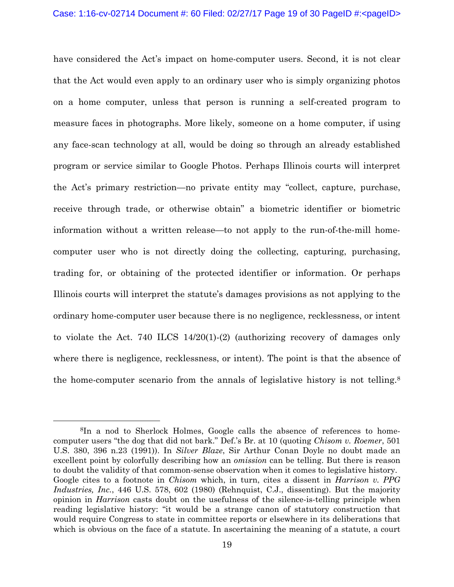have considered the Act's impact on home-computer users. Second, it is not clear that the Act would even apply to an ordinary user who is simply organizing photos on a home computer, unless that person is running a self-created program to measure faces in photographs. More likely, someone on a home computer, if using any face-scan technology at all, would be doing so through an already established program or service similar to Google Photos. Perhaps Illinois courts will interpret the Act's primary restriction—no private entity may "collect, capture, purchase, receive through trade, or otherwise obtain" a biometric identifier or biometric information without a written release—to not apply to the run-of-the-mill homecomputer user who is not directly doing the collecting, capturing, purchasing, trading for, or obtaining of the protected identifier or information. Or perhaps Illinois courts will interpret the statute's damages provisions as not applying to the ordinary home-computer user because there is no negligence, recklessness, or intent to violate the Act. 740 ILCS 14/20(1)-(2) (authorizing recovery of damages only where there is negligence, recklessness, or intent). The point is that the absence of the home-computer scenario from the annals of legislative history is not telling.8

 <sup>8</sup>In a nod to Sherlock Holmes, Google calls the absence of references to homecomputer users "the dog that did not bark." Def.'s Br. at 10 (quoting *Chisom v. Roemer*, 501 U.S. 380, 396 n.23 (1991)). In *Silver Blaze*, Sir Arthur Conan Doyle no doubt made an excellent point by colorfully describing how an *omission* can be telling. But there is reason to doubt the validity of that common-sense observation when it comes to legislative history. Google cites to a footnote in *Chisom* which, in turn, cites a dissent in *Harrison v. PPG Industries, Inc.*, 446 U.S. 578, 602 (1980) (Rehnquist, C.J., dissenting). But the majority opinion in *Harrison* casts doubt on the usefulness of the silence-is-telling principle when reading legislative history: "it would be a strange canon of statutory construction that would require Congress to state in committee reports or elsewhere in its deliberations that which is obvious on the face of a statute. In ascertaining the meaning of a statute, a court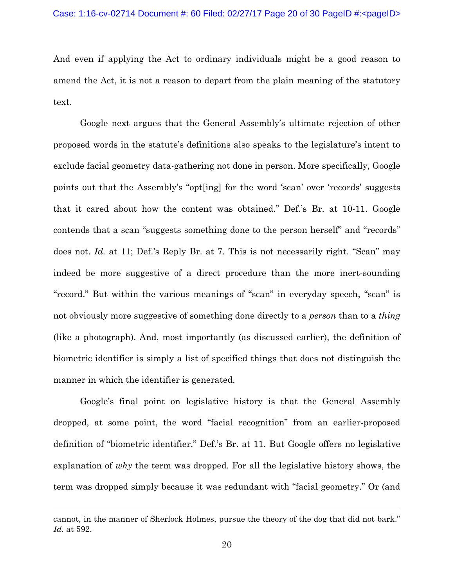And even if applying the Act to ordinary individuals might be a good reason to amend the Act, it is not a reason to depart from the plain meaning of the statutory text.

 Google next argues that the General Assembly's ultimate rejection of other proposed words in the statute's definitions also speaks to the legislature's intent to exclude facial geometry data-gathering not done in person. More specifically, Google points out that the Assembly's "opt[ing] for the word 'scan' over 'records' suggests that it cared about how the content was obtained." Def.'s Br. at 10-11. Google contends that a scan "suggests something done to the person herself" and "records" does not. *Id.* at 11; Def.'s Reply Br. at 7. This is not necessarily right. "Scan" may indeed be more suggestive of a direct procedure than the more inert-sounding "record." But within the various meanings of "scan" in everyday speech, "scan" is not obviously more suggestive of something done directly to a *person* than to a *thing* (like a photograph). And, most importantly (as discussed earlier), the definition of biometric identifier is simply a list of specified things that does not distinguish the manner in which the identifier is generated.

 Google's final point on legislative history is that the General Assembly dropped, at some point, the word "facial recognition" from an earlier-proposed definition of "biometric identifier." Def.'s Br. at 11. But Google offers no legislative explanation of *why* the term was dropped. For all the legislative history shows, the term was dropped simply because it was redundant with "facial geometry." Or (and

 $\overline{a}$ 

cannot, in the manner of Sherlock Holmes, pursue the theory of the dog that did not bark." *Id.* at 592.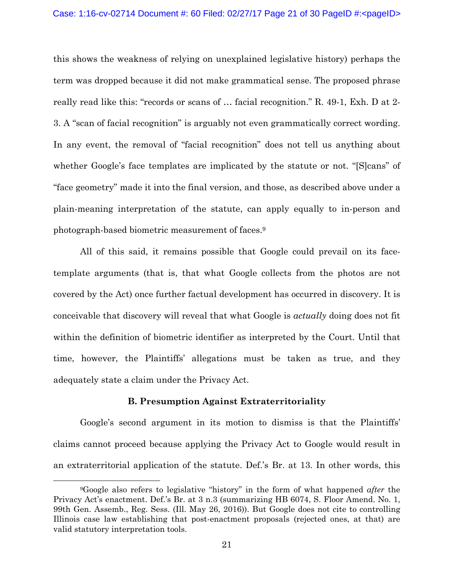this shows the weakness of relying on unexplained legislative history) perhaps the term was dropped because it did not make grammatical sense. The proposed phrase really read like this: "records or scans of … facial recognition." R. 49-1, Exh. D at 2- 3. A "scan of facial recognition" is arguably not even grammatically correct wording. In any event, the removal of "facial recognition" does not tell us anything about whether Google's face templates are implicated by the statute or not. "[S]cans" of "face geometry" made it into the final version, and those, as described above under a plain-meaning interpretation of the statute, can apply equally to in-person and photograph-based biometric measurement of faces.9

 All of this said, it remains possible that Google could prevail on its facetemplate arguments (that is, that what Google collects from the photos are not covered by the Act) once further factual development has occurred in discovery. It is conceivable that discovery will reveal that what Google is *actually* doing does not fit within the definition of biometric identifier as interpreted by the Court. Until that time, however, the Plaintiffs' allegations must be taken as true, and they adequately state a claim under the Privacy Act.

#### **B. Presumption Against Extraterritoriality**

 Google's second argument in its motion to dismiss is that the Plaintiffs' claims cannot proceed because applying the Privacy Act to Google would result in an extraterritorial application of the statute. Def.'s Br. at 13. In other words, this

 <sup>9</sup>Google also refers to legislative "history" in the form of what happened *after* the Privacy Act's enactment. Def.'s Br. at 3 n.3 (summarizing HB 6074, S. Floor Amend. No. 1, 99th Gen. Assemb., Reg. Sess. (Ill. May 26, 2016)). But Google does not cite to controlling Illinois case law establishing that post-enactment proposals (rejected ones, at that) are valid statutory interpretation tools.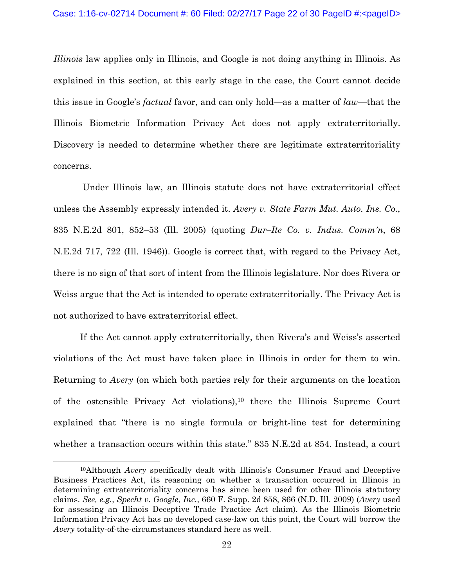*Illinois* law applies only in Illinois, and Google is not doing anything in Illinois. As explained in this section, at this early stage in the case, the Court cannot decide this issue in Google's *factual* favor, and can only hold—as a matter of *law*—that the Illinois Biometric Information Privacy Act does not apply extraterritorially. Discovery is needed to determine whether there are legitimate extraterritoriality concerns.

 Under Illinois law, an Illinois statute does not have extraterritorial effect unless the Assembly expressly intended it. *Avery v. State Farm Mut. Auto. Ins. Co.*, 835 N.E.2d 801, 852–53 (Ill. 2005) (quoting *Dur–Ite Co. v. Indus. Comm'n*, 68 N.E.2d 717, 722 (Ill. 1946)). Google is correct that, with regard to the Privacy Act, there is no sign of that sort of intent from the Illinois legislature. Nor does Rivera or Weiss argue that the Act is intended to operate extraterritorially. The Privacy Act is not authorized to have extraterritorial effect.

 If the Act cannot apply extraterritorially, then Rivera's and Weiss's asserted violations of the Act must have taken place in Illinois in order for them to win. Returning to *Avery* (on which both parties rely for their arguments on the location of the ostensible Privacy Act violations),10 there the Illinois Supreme Court explained that "there is no single formula or bright-line test for determining whether a transaction occurs within this state." 835 N.E.2d at 854. Instead, a court

 <sup>10</sup>Although *Avery* specifically dealt with Illinois's Consumer Fraud and Deceptive Business Practices Act, its reasoning on whether a transaction occurred in Illinois in determining extraterritoriality concerns has since been used for other Illinois statutory claims. *See, e.g.*, *Specht v. Google, Inc.*, 660 F. Supp. 2d 858, 866 (N.D. Ill. 2009) (*Avery* used for assessing an Illinois Deceptive Trade Practice Act claim). As the Illinois Biometric Information Privacy Act has no developed case-law on this point, the Court will borrow the *Avery* totality-of-the-circumstances standard here as well.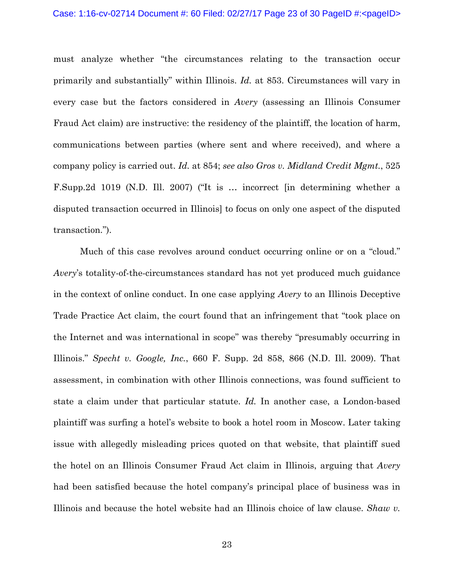must analyze whether "the circumstances relating to the transaction occur primarily and substantially" within Illinois. *Id.* at 853. Circumstances will vary in every case but the factors considered in *Avery* (assessing an Illinois Consumer Fraud Act claim) are instructive: the residency of the plaintiff, the location of harm, communications between parties (where sent and where received), and where a company policy is carried out. *Id.* at 854; *see also Gros v. Midland Credit Mgmt.*, 525 F.Supp.2d 1019 (N.D. Ill. 2007) ("It is … incorrect [in determining whether a disputed transaction occurred in Illinois] to focus on only one aspect of the disputed transaction.").

 Much of this case revolves around conduct occurring online or on a "cloud." *Avery*'s totality-of-the-circumstances standard has not yet produced much guidance in the context of online conduct. In one case applying *Avery* to an Illinois Deceptive Trade Practice Act claim, the court found that an infringement that "took place on the Internet and was international in scope" was thereby "presumably occurring in Illinois." *Specht v. Google, Inc.*, 660 F. Supp. 2d 858, 866 (N.D. Ill. 2009). That assessment, in combination with other Illinois connections, was found sufficient to state a claim under that particular statute. *Id.* In another case, a London-based plaintiff was surfing a hotel's website to book a hotel room in Moscow. Later taking issue with allegedly misleading prices quoted on that website, that plaintiff sued the hotel on an Illinois Consumer Fraud Act claim in Illinois, arguing that *Avery* had been satisfied because the hotel company's principal place of business was in Illinois and because the hotel website had an Illinois choice of law clause. *Shaw v.*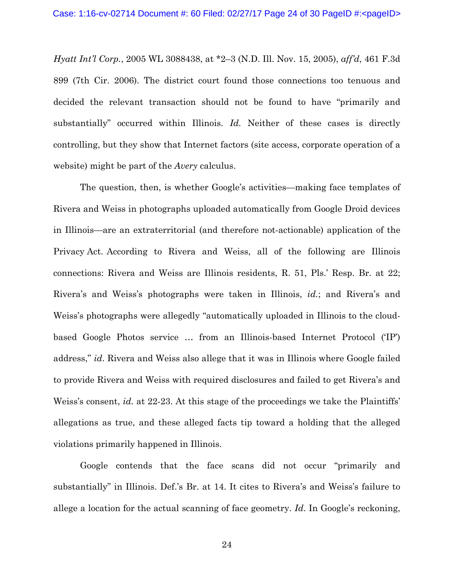*Hyatt Int'l Corp.*, 2005 WL 3088438, at \*2–3 (N.D. Ill. Nov. 15, 2005), *aff'd*, 461 F.3d 899 (7th Cir. 2006). The district court found those connections too tenuous and decided the relevant transaction should not be found to have "primarily and substantially" occurred within Illinois. *Id.* Neither of these cases is directly controlling, but they show that Internet factors (site access, corporate operation of a website) might be part of the *Avery* calculus.

 The question, then, is whether Google's activities—making face templates of Rivera and Weiss in photographs uploaded automatically from Google Droid devices in Illinois—are an extraterritorial (and therefore not-actionable) application of the Privacy Act. According to Rivera and Weiss, all of the following are Illinois connections: Rivera and Weiss are Illinois residents, R. 51, Pls.' Resp. Br. at 22; Rivera's and Weiss's photographs were taken in Illinois, *id.*; and Rivera's and Weiss's photographs were allegedly "automatically uploaded in Illinois to the cloudbased Google Photos service … from an Illinois-based Internet Protocol ('IP') address," *id*. Rivera and Weiss also allege that it was in Illinois where Google failed to provide Rivera and Weiss with required disclosures and failed to get Rivera's and Weiss's consent, *id.* at 22-23. At this stage of the proceedings we take the Plaintiffs' allegations as true, and these alleged facts tip toward a holding that the alleged violations primarily happened in Illinois.

 Google contends that the face scans did not occur "primarily and substantially" in Illinois. Def.'s Br. at 14. It cites to Rivera's and Weiss's failure to allege a location for the actual scanning of face geometry. *Id*. In Google's reckoning,

24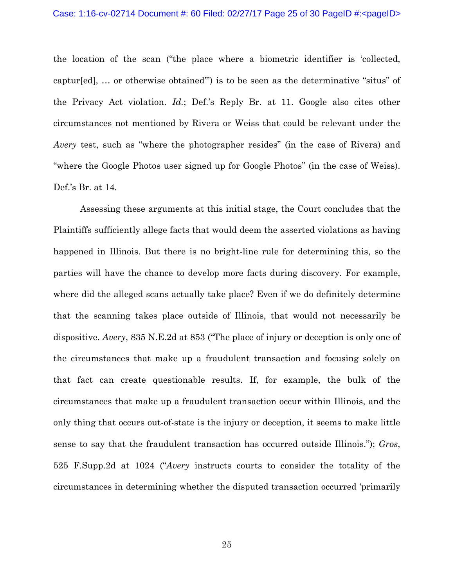the location of the scan ("the place where a biometric identifier is 'collected, captur[ed], … or otherwise obtained'") is to be seen as the determinative "situs" of the Privacy Act violation. *Id.*; Def.'s Reply Br. at 11. Google also cites other circumstances not mentioned by Rivera or Weiss that could be relevant under the *Avery* test, such as "where the photographer resides" (in the case of Rivera) and "where the Google Photos user signed up for Google Photos" (in the case of Weiss). Def.'s Br. at 14*.* 

 Assessing these arguments at this initial stage, the Court concludes that the Plaintiffs sufficiently allege facts that would deem the asserted violations as having happened in Illinois. But there is no bright-line rule for determining this, so the parties will have the chance to develop more facts during discovery. For example, where did the alleged scans actually take place? Even if we do definitely determine that the scanning takes place outside of Illinois, that would not necessarily be dispositive. *Avery*, 835 N.E.2d at 853 ("The place of injury or deception is only one of the circumstances that make up a fraudulent transaction and focusing solely on that fact can create questionable results. If, for example, the bulk of the circumstances that make up a fraudulent transaction occur within Illinois, and the only thing that occurs out-of-state is the injury or deception, it seems to make little sense to say that the fraudulent transaction has occurred outside Illinois."); *Gros*, 525 F.Supp.2d at 1024 ("*Avery* instructs courts to consider the totality of the circumstances in determining whether the disputed transaction occurred 'primarily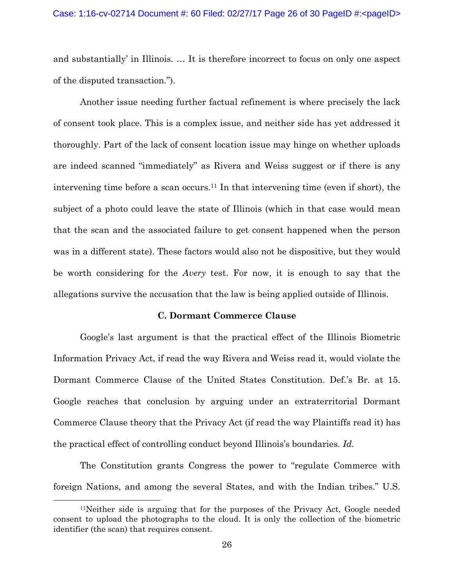and substantially' in Illinois. … It is therefore incorrect to focus on only one aspect of the disputed transaction.").

 Another issue needing further factual refinement is where precisely the lack of consent took place. This is a complex issue, and neither side has yet addressed it thoroughly. Part of the lack of consent location issue may hinge on whether uploads are indeed scanned "immediately" as Rivera and Weiss suggest or if there is any intervening time before a scan occurs.11 In that intervening time (even if short), the subject of a photo could leave the state of Illinois (which in that case would mean that the scan and the associated failure to get consent happened when the person was in a different state). These factors would also not be dispositive, but they would be worth considering for the *Avery* test. For now, it is enough to say that the allegations survive the accusation that the law is being applied outside of Illinois.

## **C. Dormant Commerce Clause**

Google's last argument is that the practical effect of the Illinois Biometric Information Privacy Act, if read the way Rivera and Weiss read it, would violate the Dormant Commerce Clause of the United States Constitution. Def.'s Br. at 15. Google reaches that conclusion by arguing under an extraterritorial Dormant Commerce Clause theory that the Privacy Act (if read the way Plaintiffs read it) has the practical effect of controlling conduct beyond Illinois's boundaries. *Id.* 

 The Constitution grants Congress the power to "regulate Commerce with foreign Nations, and among the several States, and with the Indian tribes." U.S.

 <sup>11</sup>Neither side is arguing that for the purposes of the Privacy Act, Google needed consent to upload the photographs to the cloud. It is only the collection of the biometric identifier (the scan) that requires consent.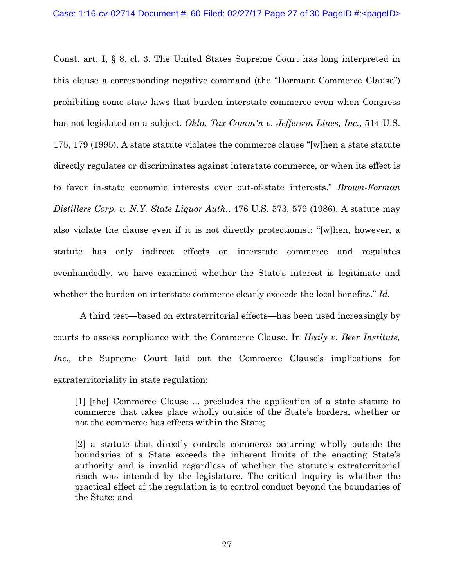Const. art. I, § 8, cl. 3. The United States Supreme Court has long interpreted in this clause a corresponding negative command (the "Dormant Commerce Clause") prohibiting some state laws that burden interstate commerce even when Congress has not legislated on a subject. *Okla. Tax Comm'n v. Jefferson Lines, Inc.*, 514 U.S. 175, 179 (1995). A state statute violates the commerce clause "[w]hen a state statute directly regulates or discriminates against interstate commerce, or when its effect is to favor in-state economic interests over out-of-state interests." *Brown-Forman Distillers Corp. v. N.Y. State Liquor Auth.*, 476 U.S. 573, 579 (1986). A statute may also violate the clause even if it is not directly protectionist: "[w]hen, however, a statute has only indirect effects on interstate commerce and regulates evenhandedly, we have examined whether the State's interest is legitimate and whether the burden on interstate commerce clearly exceeds the local benefits." *Id.* 

 A third test—based on extraterritorial effects—has been used increasingly by courts to assess compliance with the Commerce Clause. In *Healy v. Beer Institute, Inc.*, the Supreme Court laid out the Commerce Clause's implications for extraterritoriality in state regulation:

[1] [the] Commerce Clause ... precludes the application of a state statute to commerce that takes place wholly outside of the State's borders, whether or not the commerce has effects within the State;

[2] a statute that directly controls commerce occurring wholly outside the boundaries of a State exceeds the inherent limits of the enacting State's authority and is invalid regardless of whether the statute's extraterritorial reach was intended by the legislature. The critical inquiry is whether the practical effect of the regulation is to control conduct beyond the boundaries of the State; and

27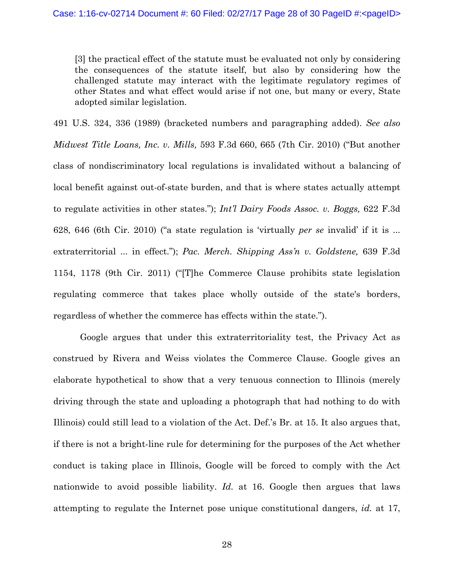[3] the practical effect of the statute must be evaluated not only by considering the consequences of the statute itself, but also by considering how the challenged statute may interact with the legitimate regulatory regimes of other States and what effect would arise if not one, but many or every, State adopted similar legislation.

491 U.S. 324, 336 (1989) (bracketed numbers and paragraphing added). *See also Midwest Title Loans, Inc. v. Mills,* 593 F.3d 660, 665 (7th Cir. 2010) ("But another class of nondiscriminatory local regulations is invalidated without a balancing of local benefit against out-of-state burden, and that is where states actually attempt to regulate activities in other states."); *Int'l Dairy Foods Assoc. v. Boggs,* 622 F.3d 628, 646 (6th Cir. 2010) ("a state regulation is 'virtually *per se* invalid' if it is ... extraterritorial ... in effect."); *Pac. Merch. Shipping Ass'n v. Goldstene,* 639 F.3d 1154, 1178 (9th Cir. 2011) ("[T]he Commerce Clause prohibits state legislation regulating commerce that takes place wholly outside of the state's borders, regardless of whether the commerce has effects within the state.").

 Google argues that under this extraterritoriality test, the Privacy Act as construed by Rivera and Weiss violates the Commerce Clause. Google gives an elaborate hypothetical to show that a very tenuous connection to Illinois (merely driving through the state and uploading a photograph that had nothing to do with Illinois) could still lead to a violation of the Act. Def.'s Br. at 15. It also argues that, if there is not a bright-line rule for determining for the purposes of the Act whether conduct is taking place in Illinois, Google will be forced to comply with the Act nationwide to avoid possible liability. *Id.* at 16. Google then argues that laws attempting to regulate the Internet pose unique constitutional dangers, *id.* at 17,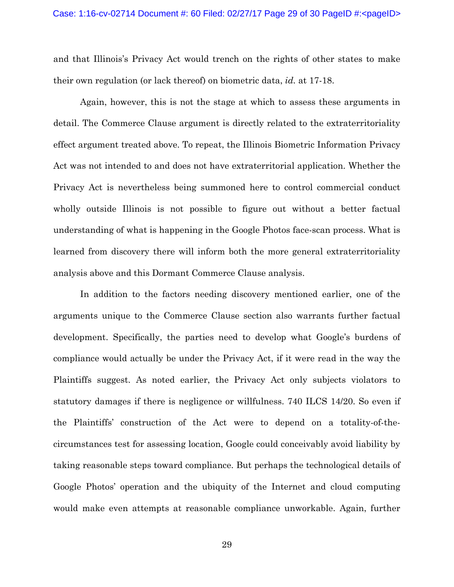and that Illinois's Privacy Act would trench on the rights of other states to make their own regulation (or lack thereof) on biometric data, *id.* at 17-18.

 Again, however, this is not the stage at which to assess these arguments in detail. The Commerce Clause argument is directly related to the extraterritoriality effect argument treated above. To repeat, the Illinois Biometric Information Privacy Act was not intended to and does not have extraterritorial application. Whether the Privacy Act is nevertheless being summoned here to control commercial conduct wholly outside Illinois is not possible to figure out without a better factual understanding of what is happening in the Google Photos face-scan process. What is learned from discovery there will inform both the more general extraterritoriality analysis above and this Dormant Commerce Clause analysis.

 In addition to the factors needing discovery mentioned earlier, one of the arguments unique to the Commerce Clause section also warrants further factual development. Specifically, the parties need to develop what Google's burdens of compliance would actually be under the Privacy Act, if it were read in the way the Plaintiffs suggest. As noted earlier, the Privacy Act only subjects violators to statutory damages if there is negligence or willfulness. 740 ILCS 14/20. So even if the Plaintiffs' construction of the Act were to depend on a totality-of-thecircumstances test for assessing location, Google could conceivably avoid liability by taking reasonable steps toward compliance. But perhaps the technological details of Google Photos' operation and the ubiquity of the Internet and cloud computing would make even attempts at reasonable compliance unworkable. Again, further